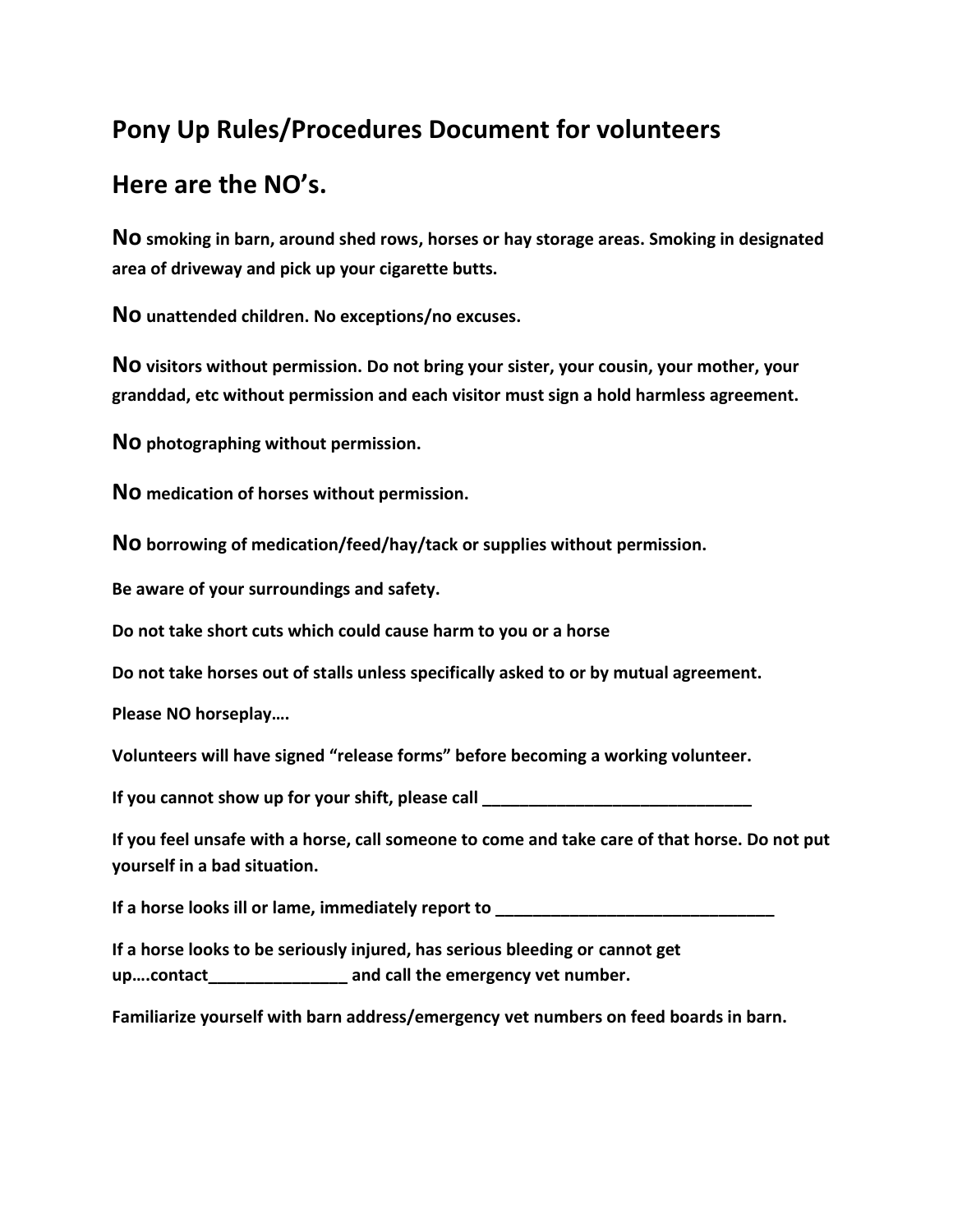## **Pony Up Rules/Procedures Document for volunteers**

## **Here are the NO's.**

**No smoking in barn, around shed rows, horses or hay storage areas. Smoking in designated area of driveway and pick up your cigarette butts.**

**No unattended children. No exceptions/no excuses.**

**No visitors without permission. Do not bring your sister, your cousin, your mother, your granddad, etc without permission and each visitor must sign a hold harmless agreement.**

**No photographing without permission.**

**No medication of horses without permission.**

**No borrowing of medication/feed/hay/tack or supplies without permission.**

**Be aware of your surroundings and safety.**

**Do not take short cuts which could cause harm to you or a horse**

**Do not take horses out of stalls unless specifically asked to or by mutual agreement.**

**Please NO horseplay….**

**Volunteers will have signed "release forms" before becoming a working volunteer.**

**If you cannot show up for your shift, please call \_\_\_\_\_\_\_\_\_\_\_\_\_\_\_\_\_\_\_\_\_\_\_\_\_\_\_\_\_**

**If you feel unsafe with a horse, call someone to come and take care of that horse. Do not put yourself in a bad situation.**

**If a horse looks ill or lame, immediately report to** 

**If a horse looks to be seriously injured, has serious bleeding or cannot get up….contact\_\_\_\_\_\_\_\_\_\_\_\_\_\_\_ and call the emergency vet number.**

**Familiarize yourself with barn address/emergency vet numbers on feed boards in barn.**